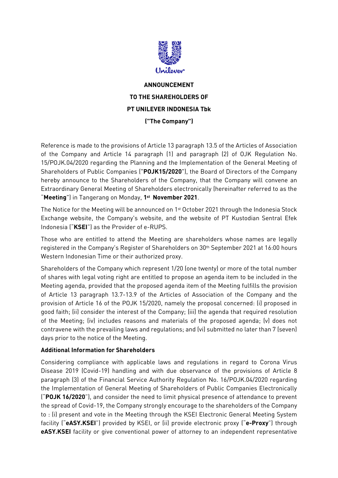

## **ANNOUNCEMENT TO THE SHAREHOLDERS OF PT UNILEVER INDONESIA Tbk ("The Company")**

Reference is made to the provisions of Article 13 paragraph 13.5 of the Articles of Association of the Company and Article 14 paragraph (1) and paragraph (2) of OJK Regulation No. 15/POJK.04/2020 regarding the Planning and the Implementation of the General Meeting of Shareholders of Public Companies ("**POJK15/2020**"), the Board of Directors of the Company hereby announce to the Shareholders of the Company, that the Company will convene an Extraordinary General Meeting of Shareholders electronically (hereinafter referred to as the "**Meeting**") in Tangerang on Monday, **1 st November 2021**.

The Notice for the Meeting will be announced on 1<sup>st</sup> October 2021 through the Indonesia Stock Exchange website, the Company's website, and the website of PT Kustodian Sentral Efek Indonesia ("**KSEI**") as the Provider of e-RUPS.

Those who are entitled to attend the Meeting are shareholders whose names are legally registered in the Company's Register of Shareholders on 30th September 2021 at 16:00 hours Western Indonesian Time or their authorized proxy.

Shareholders of the Company which represent 1/20 (one twenty) or more of the total number of shares with legal voting right are entitled to propose an agenda item to be included in the Meeting agenda, provided that the proposed agenda item of the Meeting fulfills the provision of Article 13 paragraph 13.7-13.9 of the Articles of Association of the Company and the provision of Article 16 of the POJK 15/2020, namely the proposal concerned: (i) proposed in good faith; (ii) consider the interest of the Company; (iii) the agenda that required resolution of the Meeting; (iv) includes reasons and materials of the proposed agenda; (v) does not contravene with the prevailing laws and regulations; and (vi) submitted no later than 7 (seven) days prior to the notice of the Meeting.

## **Additional Information for Shareholders**

Considering compliance with applicable laws and regulations in regard to Corona Virus Disease 2019 (Covid-19) handling and with due observance of the provisions of Article 8 paragraph (3) of the Financial Service Authority Regulation No. 16/POJK.04/2020 regarding the Implementation of General Meeting of Shareholders of Public Companies Electronically ("**POJK 16/2020**"), and consider the need to limit physical presence of attendance to prevent the spread of Covid-19, the Company strongly encourage to the shareholders of the Company to : (i) present and vote in the Meeting through the KSEI Electronic General Meeting System facility ("**eASY.KSEI**") provided by KSEI, or (ii) provide electronic proxy ("**e-Proxy**") through **eASY.KSEI** facility or give conventional power of attorney to an independent representative